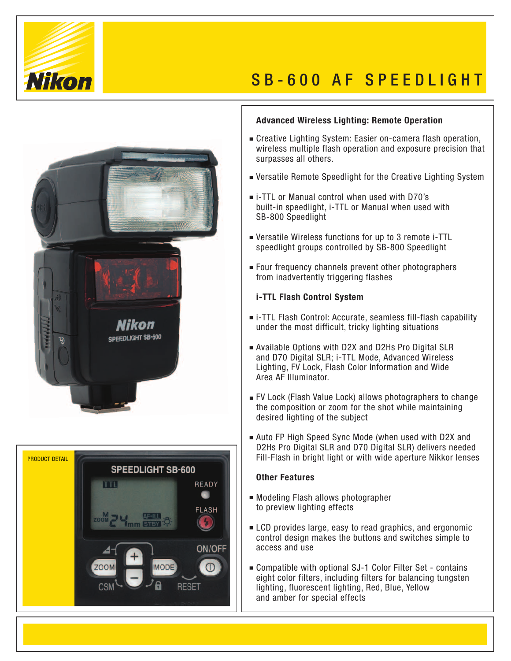

# S B - 600 AF S P E E D L I G H T





### **Advanced Wireless Lighting: Remote Operation**

- Creative Lighting System: Easier on-camera flash operation, wireless multiple flash operation and exposure precision that surpasses all others.
- Versatile Remote Speedlight for the Creative Lighting System
- i-TTL or Manual control when used with D70's built-in speedlight, i-TTL or Manual when used with SB-800 Speedlight
- Versatile Wireless functions for up to 3 remote i-TTL speedlight groups controlled by SB-800 Speedlight
- Four frequency channels prevent other photographers from inadvertently triggering flashes

#### **i-TTL Flash Control System**

- i-TTL Flash Control: Accurate, seamless fill-flash capability under the most difficult, tricky lighting situations
- Available Options with D2X and D2Hs Pro Digital SLR and D70 Digital SLR; i-TTL Mode, Advanced Wireless Lighting, FV Lock, Flash Color Information and Wide Area AF Illuminator.
- FV Lock (Flash Value Lock) allows photographers to change the composition or zoom for the shot while maintaining desired lighting of the subject
- Auto FP High Speed Sync Mode (when used with D2X and D2Hs Pro Digital SLR and D70 Digital SLR) delivers needed Fill-Flash in bright light or with wide aperture Nikkor lenses

## **Other Features**

- Modeling Flash allows photographer to preview lighting effects
- **LCD** provides large, easy to read graphics, and ergonomic control design makes the buttons and switches simple to access and use
- Compatible with optional SJ-1 Color Filter Set contains eight color filters, including filters for balancing tungsten lighting, fluorescent lighting, Red, Blue, Yellow and amber for special effects